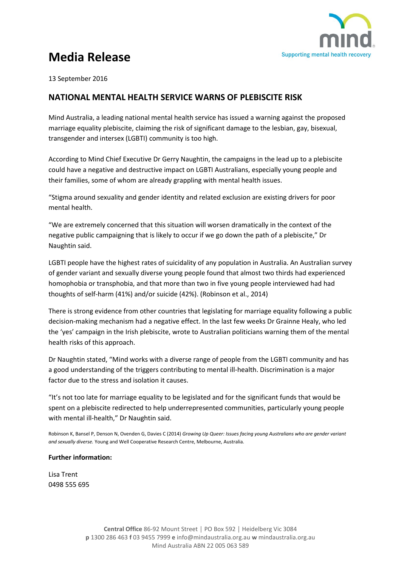

## **Media Release**

13 September 2016

## **NATIONAL MENTAL HEALTH SERVICE WARNS OF PLEBISCITE RISK**

Mind Australia, a leading national mental health service has issued a warning against the proposed marriage equality plebiscite, claiming the risk of significant damage to the lesbian, gay, bisexual, transgender and intersex (LGBTI) community is too high.

According to Mind Chief Executive Dr Gerry Naughtin, the campaigns in the lead up to a plebiscite could have a negative and destructive impact on LGBTI Australians, especially young people and their families, some of whom are already grappling with mental health issues.

"Stigma around sexuality and gender identity and related exclusion are existing drivers for poor mental health.

"We are extremely concerned that this situation will worsen dramatically in the context of the negative public campaigning that is likely to occur if we go down the path of a plebiscite," Dr Naughtin said.

LGBTI people have the highest rates of suicidality of any population in Australia. An Australian survey of gender variant and sexually diverse young people found that almost two thirds had experienced homophobia or transphobia, and that more than two in five young people interviewed had had thoughts of self-harm (41%) and/or suicide (42%). (Robinson et al., 2014)

There is strong evidence from other countries that legislating for marriage equality following a public decision-making mechanism had a negative effect. In the last few weeks Dr Grainne Healy, who led the 'yes' campaign in the Irish plebiscite, wrote to Australian politicians warning them of the mental health risks of this approach.

Dr Naughtin stated, "Mind works with a diverse range of people from the LGBTI community and has a good understanding of the triggers contributing to mental ill-health. Discrimination is a major factor due to the stress and isolation it causes.

"It's not too late for marriage equality to be legislated and for the significant funds that would be spent on a plebiscite redirected to help underrepresented communities, particularly young people with mental ill-health," Dr Naughtin said.

Robinson K, Bansel P, Denson N, Ovenden G, Davies C (2014) *Growing Up Queer: Issues facing young Australians who are gender variant and sexually diverse.* Young and Well Cooperative Research Centre, Melbourne, Australia.

## **Further information:**

Lisa Trent 0498 555 695